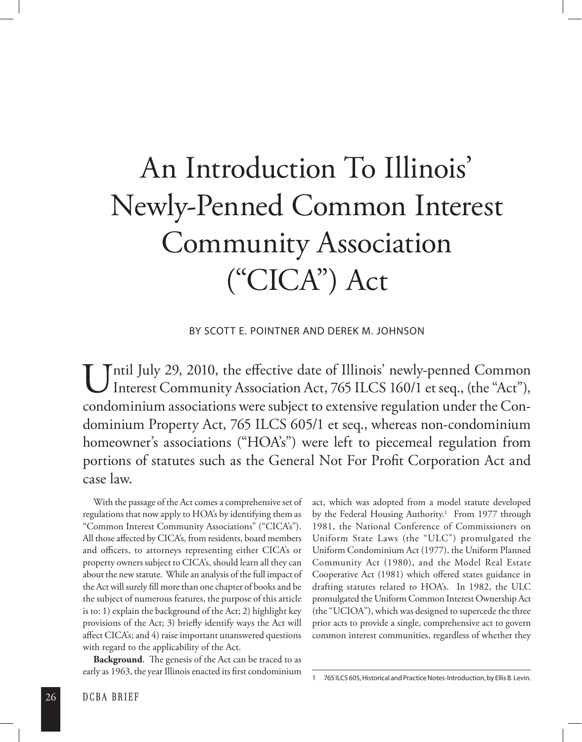## An Introduction To Illinois' Newly-Penned Common Interest Community Association ("CICA") Act

By Scott E. Pointner and Derek M. Johnson

Until July 29, 2010, the effective date of Illinois' newly-penned Common Interest Community Association Act, 765 ILCS 160/1 et seq., (the "Act"), Interest Community Association Act, 765 ILCS 160/1 et seq., (the "Act"), condominium associations were subject to extensive regulation under the Condominium Property Act, 765 ILCS 605/1 et seq., whereas non-condominium homeowner's associations ("HOA's") were left to piecemeal regulation from portions of statutes such as the General Not For Profit Corporation Act and case law.

With the passage of the Act comes a comprehensive set of regulations that now apply to HOA's by identifying them as "Common Interest Community Associations" ("CICA's"). All those affected by CICA's, from residents, board members and officers, to attorneys representing either CICA's or property owners subject to CICA's, should learn all they can about the new statute. While an analysis of the full impact of the Act will surely fill more than one chapter of books and be the subject of numerous features, the purpose of this article is to: 1) explain the background of the Act; 2) highlight key provisions of the Act; 3) briefly identify ways the Act will affect CICA's; and 4) raise important unanswered questions with regard to the applicability of the Act.

**Background**. The genesis of the Act can be traced to as early as 1963, the year Illinois enacted its first condominium act, which was adopted from a model statute developed by the Federal Housing Authority.<sup>1</sup> From 1977 through 1981, the National Conference of Commissioners on Uniform State Laws (the "ULC") promulgated the Uniform Condominium Act (1977), the Uniform Planned Community Act (1980), and the Model Real Estate Cooperative Act (1981) which offered states guidance in drafting statutes related to HOA's. In 1982, the ULC promulgated the Uniform Common Interest Ownership Act (the "UCIOA"), which was designed to supercede the three prior acts to provide a single, comprehensive act to govern common interest communities, regardless of whether they

<sup>1 765</sup> ILCS 605, Historical and Practice Notes-Introduction, by Ellis B. Levin.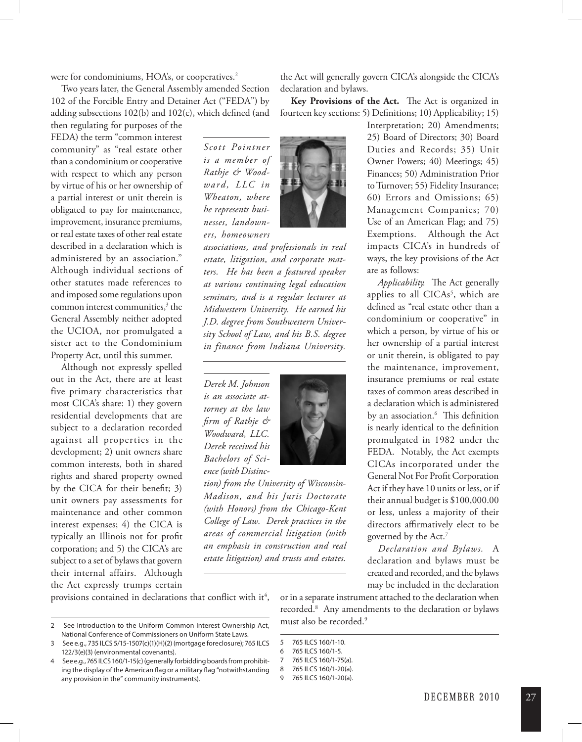were for condominiums, HOA's, or cooperatives.<sup>2</sup>

Two years later, the General Assembly amended Section 102 of the Forcible Entry and Detainer Act ("FEDA") by adding subsections 102(b) and 102(c), which defined (and

then regulating for purposes of the FEDA) the term "common interest community" as "real estate other than a condominium or cooperative with respect to which any person by virtue of his or her ownership of a partial interest or unit therein is obligated to pay for maintenance, improvement, insurance premiums, or real estate taxes of other real estate described in a declaration which is administered by an association." Although individual sections of other statutes made references to and imposed some regulations upon common interest communities,<sup>3</sup> the General Assembly neither adopted the UCIOA, nor promulgated a sister act to the Condominium Property Act, until this summer.

Although not expressly spelled out in the Act, there are at least five primary characteristics that most CICA's share: 1) they govern residential developments that are subject to a declaration recorded against all properties in the development; 2) unit owners share common interests, both in shared rights and shared property owned by the CICA for their benefit; 3) unit owners pay assessments for maintenance and other common interest expenses; 4) the CICA is typically an Illinois not for profit corporation; and 5) the CICA's are subject to a set of bylaws that govern their internal affairs. Although the Act expressly trumps certain

*Scott Pointner is a member of Rathje & Woodward , LLC in Wheaton, where he represents businesses, landowners, homeowners* 



*associations, and professionals in real estate, litigation, and corporate matters. He has been a featured speaker at various continuing legal education seminars, and is a regular lecturer at Midwestern University. He earned his J.D. degree from Southwestern University School of Law, and his B.S. degree in finance from Indiana University.* 

*Derek M. Johnson is an associate attorney at the law firm of Rathje & Woodward, LLC. Derek received his Bachelors of Science (with Distinc-*



*tion) from the University of Wisconsin-Madison, and his Juris Doctorate (with Honors) from the Chicago-Kent College of Law. Derek practices in the areas of commercial litigation (with an emphasis in construction and real estate litigation) and trusts and estates.* 

the Act will generally govern CICA's alongside the CICA's declaration and bylaws.

**Key Provisions of the Act.** The Act is organized in fourteen key sections: 5) Definitions; 10) Applicability; 15)

> Interpretation; 20) Amendments; 25) Board of Directors; 30) Board Duties and Records; 35) Unit Owner Powers; 40) Meetings; 45) Finances; 50) Administration Prior to Turnover; 55) Fidelity Insurance; 60) Errors and Omissions; 65) Management Companies; 70) Use of an American Flag; and 75) Exemptions. Although the Act impacts CICA's in hundreds of ways, the key provisions of the Act are as follows:

> *Applicability.* The Act generally applies to all  $CICAs<sup>5</sup>$ , which are defined as "real estate other than a condominium or cooperative" in which a person, by virtue of his or her ownership of a partial interest or unit therein, is obligated to pay the maintenance, improvement, insurance premiums or real estate taxes of common areas described in a declaration which is administered by an association.6 This definition is nearly identical to the definition promulgated in 1982 under the FEDA. Notably, the Act exempts CICAs incorporated under the General Not For Profit Corporation Act if they have 10 units or less, or if their annual budget is \$100,000.00 or less, unless a majority of their directors affirmatively elect to be governed by the Act.7

> *Declaration and Bylaws.* A declaration and bylaws must be created and recorded, and the bylaws may be included in the declaration

provisions contained in declarations that conflict with it<sup>4</sup>,

- 2 See Introduction to the Uniform Common Interest Ownership Act, National Conference of Commissioners on Uniform State Laws.
- 3 See e.g., 735 ILCS 5/15-1507(c)(1)(H)(2) (mortgage foreclosure); 765 ILCS 122/3(e)(3) (environmental covenants).
- 4 See e.g., 765 ILCS 160/1-15(c) (generally forbidding boards from prohibiting the display of the American flag or a military flag "notwithstanding any provision in the" community instruments).

or in a separate instrument attached to the declaration when recorded.8 Any amendments to the declaration or bylaws must also be recorded.9

<sup>5 765</sup> ILCS 160/1-10.

<sup>6 765</sup> ILCS 160/1-5.

<sup>7 765</sup> ILCS 160/1-75(a).

<sup>8 765</sup> ILCS 160/1-20(a).

<sup>9 765</sup> ILCS 160/1-20(a).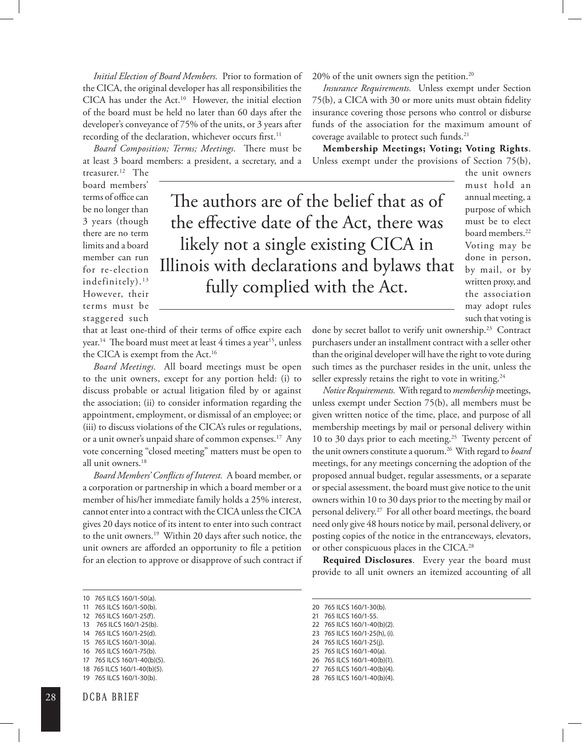*Initial Election of Board Members.* Prior to formation of the CICA, the original developer has all responsibilities the CICA has under the Act.<sup>10</sup> However, the initial election of the board must be held no later than 60 days after the developer's conveyance of 75% of the units, or 3 years after recording of the declaration, whichever occurs first.<sup>11</sup>

*Board Composition; Terms; Meetings.* There must be at least 3 board members: a president, a secretary, and a 20% of the unit owners sign the petition.<sup>20</sup>

*Insurance Requirements.* Unless exempt under Section 75(b), a CICA with 30 or more units must obtain fidelity insurance covering those persons who control or disburse funds of the association for the maximum amount of coverage available to protect such funds.<sup>21</sup>

**Membership Meetings; Voting; Voting Rights**. Unless exempt under the provisions of Section 75(b),

> the unit owners must hold an annual meeting, a purpose of which must be to elect board members.<sup>22</sup> Voting may be done in person, by mail, or by written proxy, and the association may adopt rules such that voting is

treasurer.12 The board members' terms of office can be no longer than 3 years (though there are no term limits and a board member can run for re-election indefinitely).<sup>13</sup> However, their terms must be staggered such

The authors are of the belief that as of the effective date of the Act, there was likely not a single existing CICA in Illinois with declarations and bylaws that fully complied with the Act.

that at least one-third of their terms of office expire each year.<sup>14</sup> The board must meet at least 4 times a year<sup>15</sup>, unless the CICA is exempt from the Act.<sup>16</sup>

*Board Meetings.* All board meetings must be open to the unit owners, except for any portion held: (i) to discuss probable or actual litigation filed by or against the association; (ii) to consider information regarding the appointment, employment, or dismissal of an employee; or (iii) to discuss violations of the CICA's rules or regulations, or a unit owner's unpaid share of common expenses.17 Any vote concerning "closed meeting" matters must be open to all unit owners.18

*Board Members' Conflicts of Interest.* A board member, or a corporation or partnership in which a board member or a member of his/her immediate family holds a 25% interest, cannot enter into a contract with the CICA unless the CICA gives 20 days notice of its intent to enter into such contract to the unit owners.19 Within 20 days after such notice, the unit owners are afforded an opportunity to file a petition for an election to approve or disapprove of such contract if

- 15 765 ILCS 160/1-30(a).
- 16 765 ILCS 160/1-75(b).
- 17 765 ILCS 160/1-40(b)(5).

19 765 ILCS 160/1-30(b).

done by secret ballot to verify unit ownership.<sup>23</sup> Contract purchasers under an installment contract with a seller other than the original developer will have the right to vote during such times as the purchaser resides in the unit, unless the seller expressly retains the right to vote in writing.<sup>24</sup>

*Notice Requirements.* With regard to *membership*meetings, unless exempt under Section 75(b), all members must be given written notice of the time, place, and purpose of all membership meetings by mail or personal delivery within 10 to 30 days prior to each meeting.<sup>25</sup> Twenty percent of the unit owners constitute a quorum.26 With regard to *board*  meetings, for any meetings concerning the adoption of the proposed annual budget, regular assessments, or a separate or special assessment, the board must give notice to the unit owners within 10 to 30 days prior to the meeting by mail or personal delivery.27 For all other board meetings, the board need only give 48 hours notice by mail, personal delivery, or posting copies of the notice in the entranceways, elevators, or other conspicuous places in the CICA.28

**Required Disclosures**. Every year the board must provide to all unit owners an itemized accounting of all

- 20 765 ILCS 160/1-30(b).
- 21 765 ILCS 160/1-55. 22 765 ILCS 160/1-40(b)(2).
- 23 765 ILCS 160/1-25(h), (i).
- 
- 24 765 ILCS 160/1-25(j).
- 25 765 ILCS 160/1-40(a). 26 765 ILCS 160/1-40(b)(1).
- 27 765 ILCS 160/1-40(b)(4).
- 28 765 ILCS 160/1-40(b)(4).

<sup>10 765</sup> ILCS 160/1-50(a).

<sup>11 765</sup> ILCS 160/1-50(b).

<sup>12 765</sup> ILCS 160/1-25(f). 13 765 ILCS 160/1-25(b).

<sup>14 765</sup> ILCS 160/1-25(d).

<sup>18</sup> 765 ILCS 160/1-40(b)(5).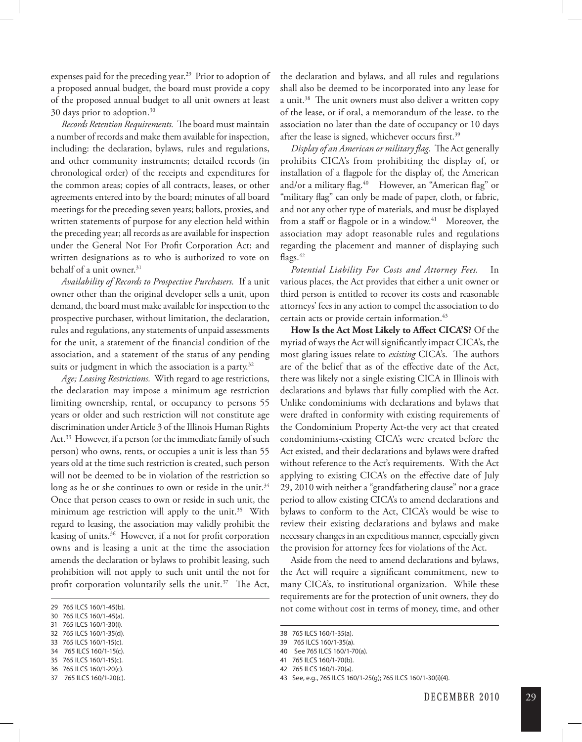expenses paid for the preceding year.<sup>29</sup> Prior to adoption of a proposed annual budget, the board must provide a copy of the proposed annual budget to all unit owners at least 30 days prior to adoption.30

*Records Retention Requirements.* The board must maintain a number of records and make them available for inspection, including: the declaration, bylaws, rules and regulations, and other community instruments; detailed records (in chronological order) of the receipts and expenditures for the common areas; copies of all contracts, leases, or other agreements entered into by the board; minutes of all board meetings for the preceding seven years; ballots, proxies, and written statements of purpose for any election held within the preceding year; all records as are available for inspection under the General Not For Profit Corporation Act; and written designations as to who is authorized to vote on behalf of a unit owner.<sup>31</sup>

*Availability of Records to Prospective Purchasers.* If a unit owner other than the original developer sells a unit, upon demand, the board must make available for inspection to the prospective purchaser, without limitation, the declaration, rules and regulations, any statements of unpaid assessments for the unit, a statement of the financial condition of the association, and a statement of the status of any pending suits or judgment in which the association is a party.<sup>32</sup>

*Age; Leasing Restrictions.* With regard to age restrictions, the declaration may impose a minimum age restriction limiting ownership, rental, or occupancy to persons 55 years or older and such restriction will not constitute age discrimination under Article 3 of the Illinois Human Rights Act.<sup>33</sup> However, if a person (or the immediate family of such person) who owns, rents, or occupies a unit is less than 55 years old at the time such restriction is created, such person will not be deemed to be in violation of the restriction so long as he or she continues to own or reside in the unit.<sup>34</sup> Once that person ceases to own or reside in such unit, the minimum age restriction will apply to the unit.<sup>35</sup> With regard to leasing, the association may validly prohibit the leasing of units.36 However, if a not for profit corporation owns and is leasing a unit at the time the association amends the declaration or bylaws to prohibit leasing, such prohibition will not apply to such unit until the not for profit corporation voluntarily sells the unit.<sup>37</sup> The Act,

29 765 ILCS 160/1-45(b).

- 32 765 ILCS 160/1-35(d).
- 33 765 ILCS 160/1-15(c).
- 34 765 ILCS 160/1-15(c).
- 35 765 ILCS 160/1-15(c).
- 36 765 ILCS 160/1-20(c).
- 37 765 ILCS 160/1-20(c).

the declaration and bylaws, and all rules and regulations shall also be deemed to be incorporated into any lease for a unit.38 The unit owners must also deliver a written copy of the lease, or if oral, a memorandum of the lease, to the association no later than the date of occupancy or 10 days after the lease is signed, whichever occurs first.<sup>39</sup>

*Display of an American or military flag.* The Act generally prohibits CICA's from prohibiting the display of, or installation of a flagpole for the display of, the American and/or a military flag.<sup>40</sup> However, an "American flag" or "military flag" can only be made of paper, cloth, or fabric, and not any other type of materials, and must be displayed from a staff or flagpole or in a window.<sup>41</sup> Moreover, the association may adopt reasonable rules and regulations regarding the placement and manner of displaying such flags.<sup>42</sup>

*Potential Liability For Costs and Attorney Fees.* In various places, the Act provides that either a unit owner or third person is entitled to recover its costs and reasonable attorneys' fees in any action to compel the association to do certain acts or provide certain information.<sup>43</sup>

**How Is the Act Most Likely to Affect CICA'S?** Of the myriad of ways the Act will significantly impact CICA's, the most glaring issues relate to *existing* CICA's. The authors are of the belief that as of the effective date of the Act, there was likely not a single existing CICA in Illinois with declarations and bylaws that fully complied with the Act. Unlike condominiums with declarations and bylaws that were drafted in conformity with existing requirements of the Condominium Property Act-the very act that created condominiums-existing CICA's were created before the Act existed, and their declarations and bylaws were drafted without reference to the Act's requirements. With the Act applying to existing CICA's on the effective date of July 29, 2010 with neither a "grandfathering clause" nor a grace period to allow existing CICA's to amend declarations and bylaws to conform to the Act, CICA's would be wise to review their existing declarations and bylaws and make necessary changes in an expeditious manner, especially given the provision for attorney fees for violations of the Act.

Aside from the need to amend declarations and bylaws, the Act will require a significant commitment, new to many CICA's, to institutional organization. While these requirements are for the protection of unit owners, they do not come without cost in terms of money, time, and other

<sup>30 765</sup> ILCS 160/1-45(a). 31 765 ILCS 160/1-30(i).

<sup>38 765</sup> ILCS 160/1-35(a).

<sup>39 765</sup> ILCS 160/1-35(a).

<sup>40</sup> See 765 ILCS 160/1-70(a).

<sup>41 765</sup> ILCS 160/1-70(b).

<sup>42 765</sup> ILCS 160/1-70(a).

<sup>43</sup> See, e.g., 765 ILCS 160/1-25(g); 765 ILCS 160/1-30(i)(4).